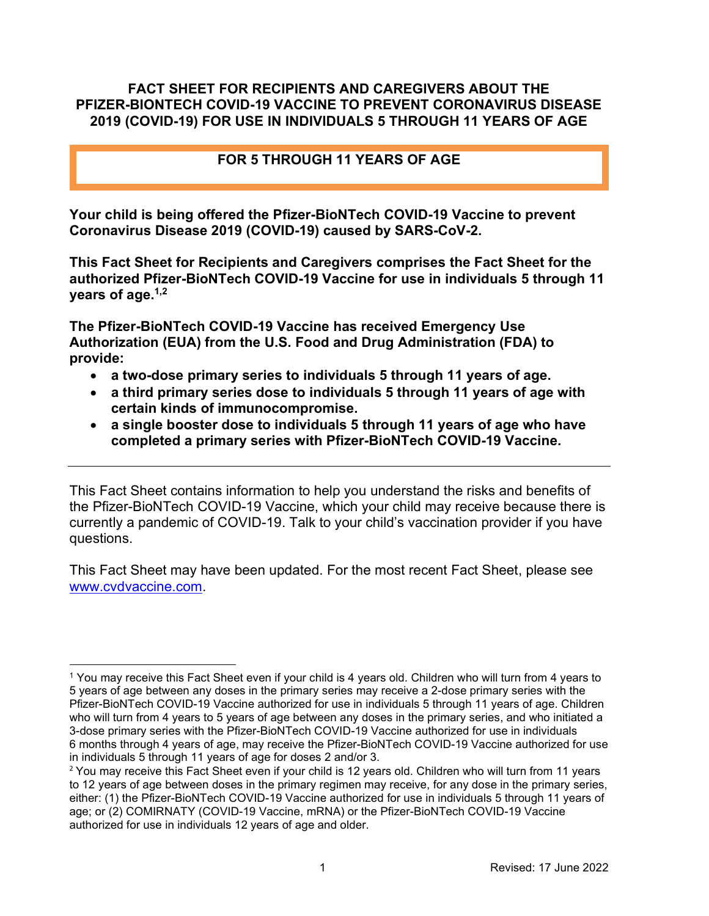#### FACT SHEET FOR RECIPIENTS AND CAREGIVERS ABOUT THE PFIZER-BIONTECH COVID-19 VACCINE TO PREVENT CORONAVIRUS DISEASE 2019 (COVID-19) FOR USE IN INDIVIDUALS 5 THROUGH 11 YEARS OF AGE

## FOR 5 THROUGH 11 YEARS OF AGE

 Your child is being offered the Pfizer-BioNTech COVID-19 Vaccine to prevent Coronavirus Disease 2019 (COVID-19) caused by SARS-CoV-2.

 This Fact Sheet for Recipients and Caregivers comprises the Fact Sheet for the authorized Pfizer-BioNTech COVID-19 Vaccine for use in individuals 5 through 11 years of age.<sup>1,2</sup>

 The Pfizer-BioNTech COVID-19 Vaccine has received Emergency Use Authorization (EUA) from the U.S. Food and Drug Administration (FDA) to provide:

- a two-dose primary series to individuals 5 through 11 years of age.
- a third primary series dose to individuals 5 through 11 years of age with certain kinds of immunocompromise.
- a single booster dose to individuals 5 through 11 years of age who have completed a primary series with Pfizer-BioNTech COVID-19 Vaccine.

 This Fact Sheet contains information to help you understand the risks and benefits of the Pfizer-BioNTech COVID-19 Vaccine, which your child may receive because there is currently a pandemic of COVID-19. Talk to your child's vaccination provider if you have questions.

 This Fact Sheet may have been updated. For the most recent Fact Sheet, please see www.cvdvaccine.com.

 $^{\rm 1}$  You may receive this Fact Sheet even if your child is 4 years old. Children who will turn from 4 years to 5 years of age between any doses in the primary series may receive a 2-dose primary series with the Pfizer-BioNTech COVID-19 Vaccine authorized for use in individuals 5 through 11 years of age. Children who will turn from 4 years to 5 years of age between any doses in the primary series, and who initiated a 3-dose primary series with the Pfizer-BioNTech COVID-19 Vaccine authorized for use in individuals 6 months through 4 years of age, may receive the Pfizer-BioNTech COVID-19 Vaccine authorized for use in individuals 5 through 11 years of age for doses 2 and/or 3.

 $^2$  You may receive this Fact Sheet even if your child is 12 years old. Children who will turn from 11 years to 12 years of age between doses in the primary regimen may receive, for any dose in the primary series, either: (1) the Pfizer-BioNTech COVID-19 Vaccine authorized for use in individuals 5 through 11 years of age; or (2) COMIRNATY (COVID-19 Vaccine, mRNA) or the Pfizer-BioNTech COVID-19 Vaccine authorized for use in individuals 12 years of age and older.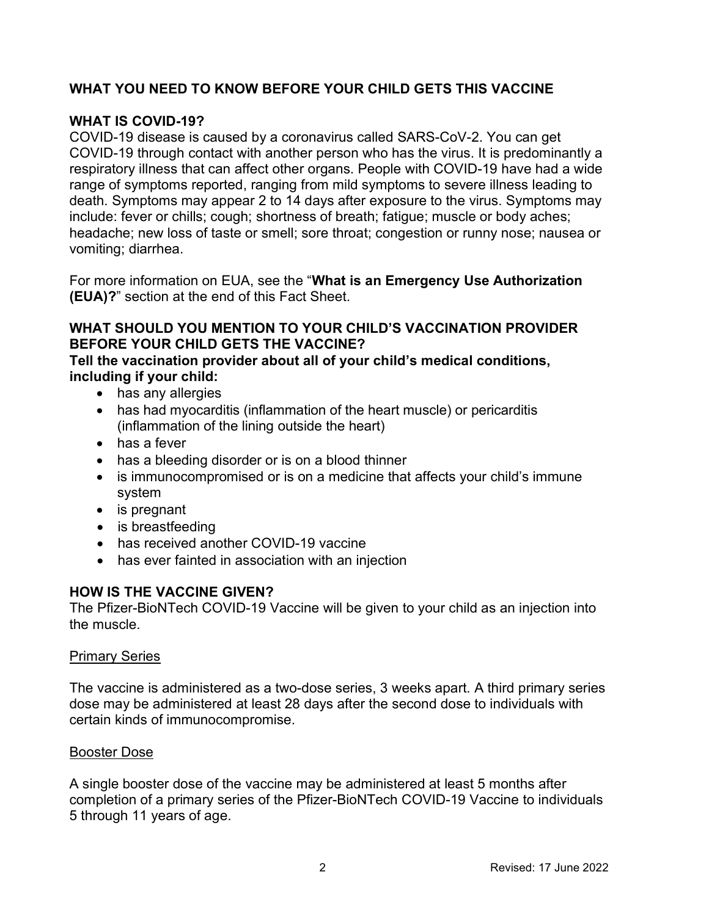## WHAT YOU NEED TO KNOW BEFORE YOUR CHILD GETS THIS VACCINE

## WHAT IS COVID-19?

 COVID-19 disease is caused by a coronavirus called SARS-CoV-2. You can get COVID-19 through contact with another person who has the virus. It is predominantly a respiratory illness that can affect other organs. People with COVID-19 have had a wide range of symptoms reported, ranging from mild symptoms to severe illness leading to death. Symptoms may appear 2 to 14 days after exposure to the virus. Symptoms may include: fever or chills; cough; shortness of breath; fatigue; muscle or body aches; headache; new loss of taste or smell; sore throat; congestion or runny nose; nausea or vomiting; diarrhea.

For more information on EUA, see the "What is an Emergency Use Authorization (EUA)?" section at the end of this Fact Sheet.

## WHAT SHOULD YOU MENTION TO YOUR CHILD'S VACCINATION PROVIDER BEFORE YOUR CHILD GETS THE VACCINE?

#### Tell the vaccination provider about all of your child's medical conditions, including if your child:

- has any allergies
- has had myocarditis (inflammation of the heart muscle) or pericarditis (inflammation of the lining outside the heart)
- has a fever
- has a bleeding disorder or is on a blood thinner
- is immunocompromised or is on a medicine that affects your child's immune system
- is pregnant
- is breastfeeding
- has received another COVID-19 vaccine
- has ever fainted in association with an injection

#### HOW IS THE VACCINE GIVEN?

 The Pfizer-BioNTech COVID-19 Vaccine will be given to your child as an injection into the muscle.

#### **Primary Series**

 The vaccine is administered as a two-dose series, 3 weeks apart. A third primary series dose may be administered at least 28 days after the second dose to individuals with certain kinds of immunocompromise.

#### **Booster Dose**

 A single booster dose of the vaccine may be administered at least 5 months after completion of a primary series of the Pfizer-BioNTech COVID-19 Vaccine to individuals 5 through 11 years of age.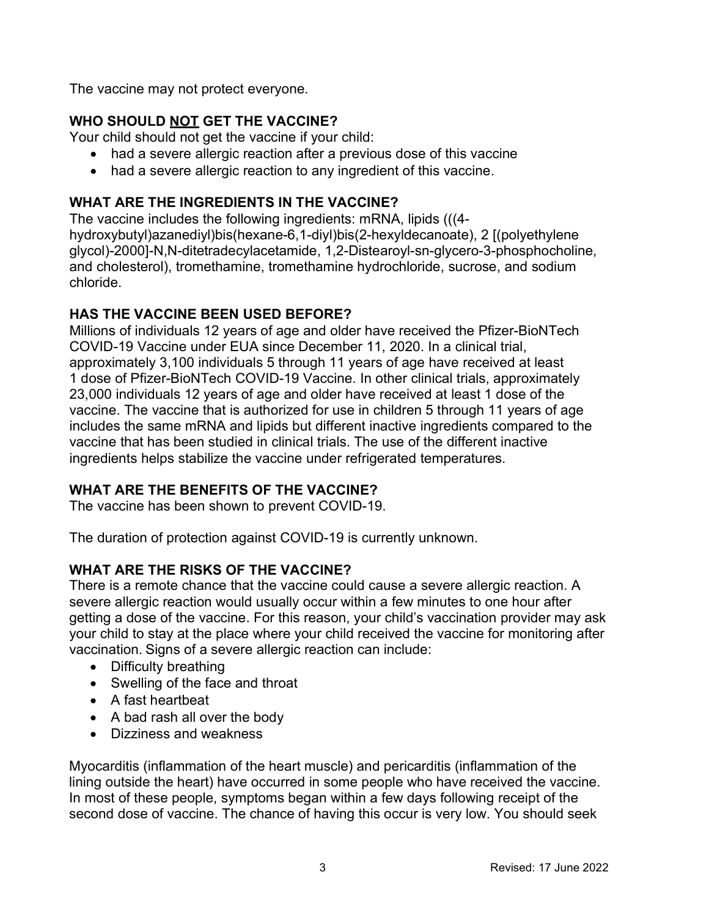The vaccine may not protect everyone.

# WHO SHOULD <u>NOT</u> GET THE VACCINE?

Your child should not get the vaccine if your child:

- had a severe allergic reaction after a previous dose of this vaccine
- had a severe allergic reaction to any ingredient of this vaccine.

## WHAT ARE THE INGREDIENTS IN THE VACCINE?

 The vaccine includes the following ingredients: mRNA, lipids (((4- hydroxybutyl)azanediyl)bis(hexane-6,1-diyl)bis(2-hexyldecanoate), 2 [(polyethylene and cholesterol), tromethamine, tromethamine hydrochloride, sucrose, and sodium glycol)-2000]-N,N-ditetradecylacetamide, 1,2-Distearoyl-sn-glycero-3-phosphocholine, chloride.

## HAS THE VACCINE BEEN USED BEFORE?

 Millions of individuals 12 years of age and older have received the Pfizer-BioNTech COVID-19 Vaccine under EUA since December 11, 2020. In a clinical trial, approximately 3,100 individuals 5 through 11 years of age have received at least 1 dose of Pfizer-BioNTech COVID-19 Vaccine. In other clinical trials, approximately 23,000 individuals 12 years of age and older have received at least 1 dose of the vaccine. The vaccine that is authorized for use in children 5 through 11 years of age includes the same mRNA and lipids but different inactive ingredients compared to the vaccine that has been studied in clinical trials. The use of the different inactive ingredients helps stabilize the vaccine under refrigerated temperatures.

## WHAT ARE THE BENEFITS OF THE VACCINE?

The vaccine has been shown to prevent COVID-19.

The duration of protection against COVID-19 is currently unknown.

## WHAT ARE THE RISKS OF THE VACCINE?

 There is a remote chance that the vaccine could cause a severe allergic reaction. A severe allergic reaction would usually occur within a few minutes to one hour after getting a dose of the vaccine. For this reason, your child's vaccination provider may ask your child to stay at the place where your child received the vaccine for monitoring after vaccination. Signs of a severe allergic reaction can include:

- Difficulty breathing
- Swelling of the face and throat
- A fast heartbeat
- A bad rash all over the body
- Dizziness and weakness

 Myocarditis (inflammation of the heart muscle) and pericarditis (inflammation of the lining outside the heart) have occurred in some people who have received the vaccine. In most of these people, symptoms began within a few days following receipt of the second dose of vaccine. The chance of having this occur is very low. You should seek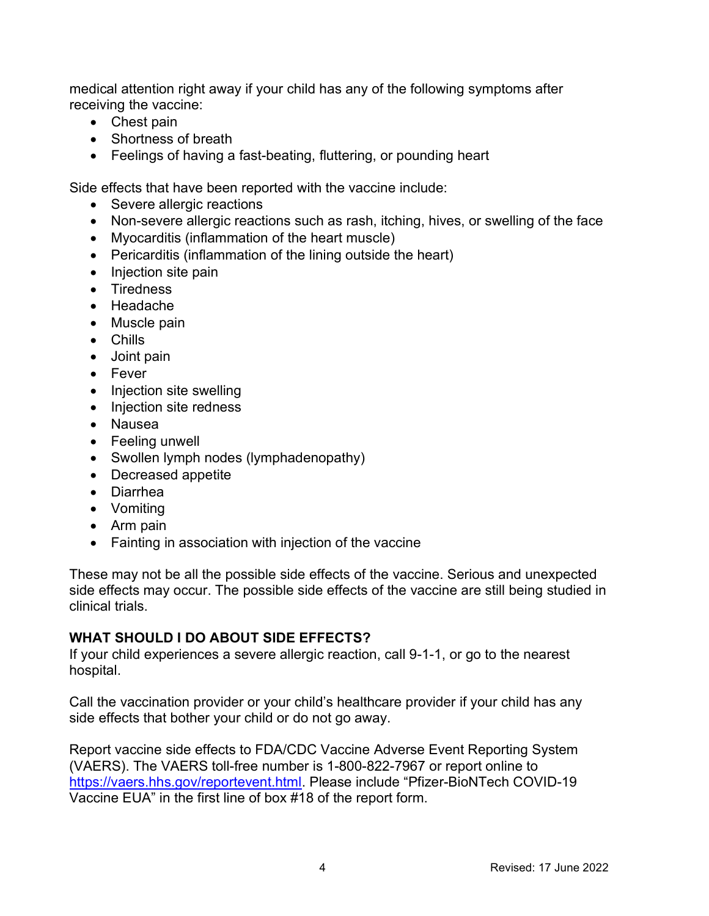medical attention right away if your child has any of the following symptoms after receiving the vaccine:

- Chest pain
- Shortness of breath
- Feelings of having a fast-beating, fluttering, or pounding heart

Side effects that have been reported with the vaccine include:

- Severe allergic reactions
- Non-severe allergic reactions such as rash, itching, hives, or swelling of the face
- Myocarditis (inflammation of the heart muscle)
- Pericarditis (inflammation of the lining outside the heart)
- Injection site pain
- Tiredness
- Headache
- Muscle pain
- Chills
- Joint pain
- Fever
- $\bullet$ Injection site swelling
- Injection site redness
- Nausea
- Feeling unwell
- Swollen lymph nodes (lymphadenopathy)
- Decreased appetite
- Diarrhea
- Vomiting
- Arm pain
- Fainting in association with injection of the vaccine

 These may not be all the possible side effects of the vaccine. Serious and unexpected side effects may occur. The possible side effects of the vaccine are still being studied in clinical trials.

# WHAT SHOULD I DO ABOUT SIDE EFFECTS?

 If your child experiences a severe allergic reaction, call 9-1-1, or go to the nearest hospital.

 Call the vaccination provider or your child's healthcare provider if your child has any side effects that bother your child or do not go away.

 Report vaccine side effects to FDA/CDC Vaccine Adverse Event Reporting System (VAERS). The VAERS toll-free number is 1-800-822-7967 or report online to https://vaers.hhs.gov/reportevent.html. Please include "Pfizer-BioNTech COVID-19 Vaccine EUA" in the first line of box #18 of the report form.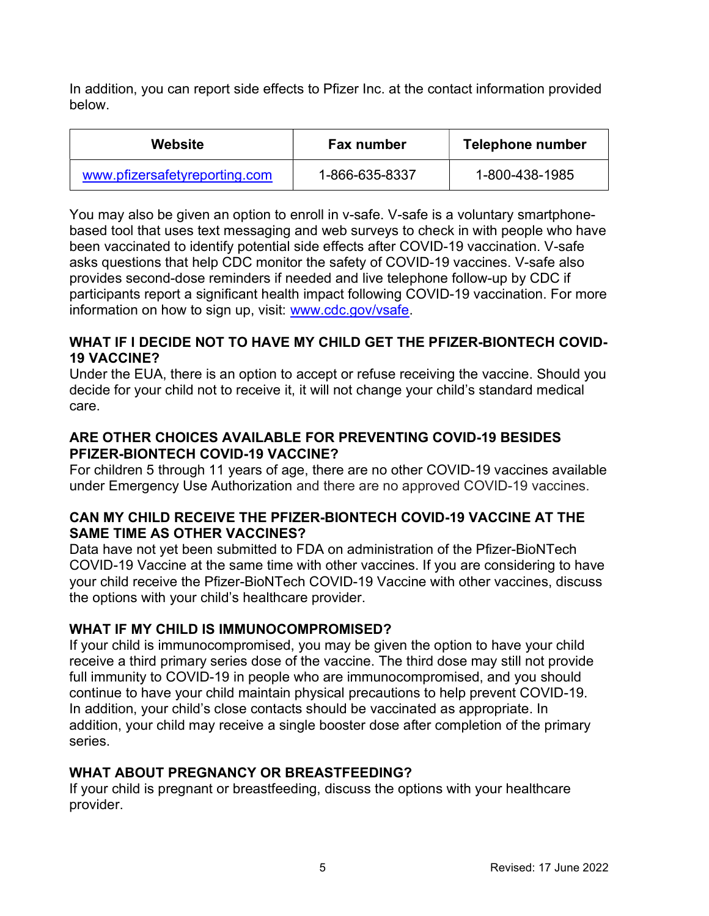In addition, you can report side effects to Pfizer Inc. at the contact information provided below.

| Website                       | Fax number     | Telephone number |
|-------------------------------|----------------|------------------|
| www.pfizersafetyreporting.com | 1-866-635-8337 | 1-800-438-1985   |

 You may also be given an option to enroll in v-safe. V-safe is a voluntary smartphone- based tool that uses text messaging and web surveys to check in with people who have been vaccinated to identify potential side effects after COVID-19 vaccination. V-safe asks questions that help CDC monitor the safety of COVID-19 vaccines. V-safe also provides second-dose reminders if needed and live telephone follow-up by CDC if participants report a significant health impact following COVID-19 vaccination. For more information on how to sign up, visit: www.cdc.gov/vsafe.

#### WHAT IF I DECIDE NOT TO HAVE MY CHILD GET THE PFIZER-BIONTECH COVID-19 VACCINE?

 Under the EUA, there is an option to accept or refuse receiving the vaccine. Should you decide for your child not to receive it, it will not change your child's standard medical care.

## ARE OTHER CHOICES AVAILABLE FOR PREVENTING COVID-19 BESIDES PFIZER-BIONTECH COVID-19 VACCINE?

 For children 5 through 11 years of age, there are no other COVID-19 vaccines available under Emergency Use Authorization and there are no approved COVID-19 vaccines.

## CAN MY CHILD RECEIVE THE PFIZER-BIONTECH COVID-19 VACCINE AT THE SAME TIME AS OTHER VACCINES?

 Data have not yet been submitted to FDA on administration of the Pfizer-BioNTech COVID-19 Vaccine at the same time with other vaccines. If you are considering to have your child receive the Pfizer-BioNTech COVID-19 Vaccine with other vaccines, discuss the options with your child's healthcare provider.

## WHAT IF MY CHILD IS IMMUNOCOMPROMISED?

 If your child is immunocompromised, you may be given the option to have your child receive a third primary series dose of the vaccine. The third dose may still not provide full immunity to COVID-19 in people who are immunocompromised, and you should continue to have your child maintain physical precautions to help prevent COVID-19. In addition, your child's close contacts should be vaccinated as appropriate. In addition, your child may receive a single booster dose after completion of the primary series.

## WHAT ABOUT PREGNANCY OR BREASTFEEDING?

 If your child is pregnant or breastfeeding, discuss the options with your healthcare provider.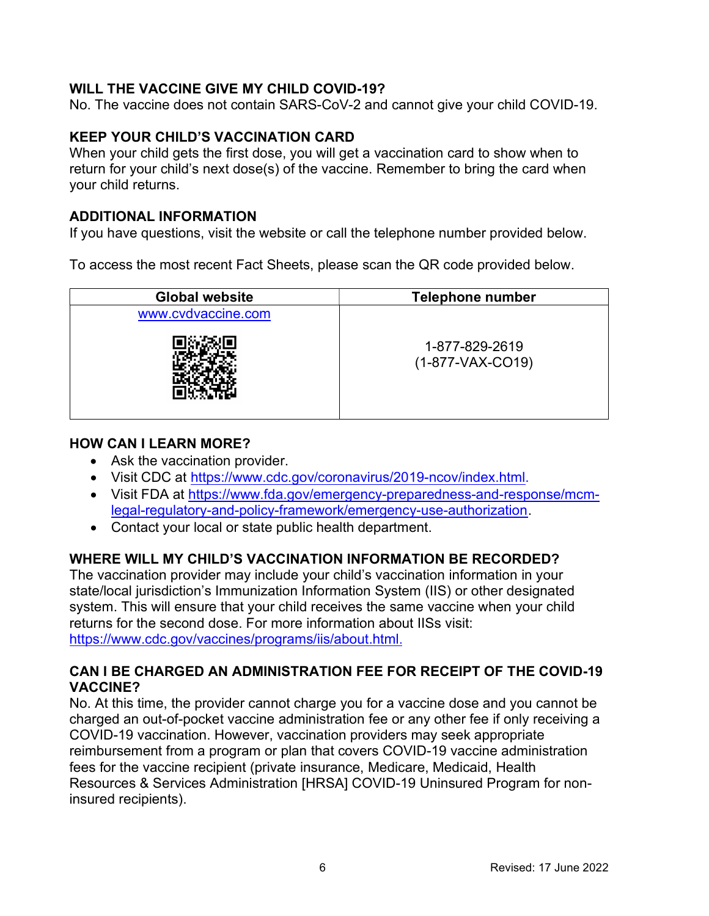## WILL THE VACCINE GIVE MY CHILD COVID-19?

No. The vaccine does not contain SARS-CoV-2 and cannot give your child COVID-19.

#### KEEP YOUR CHILD'S VACCINATION CARD

 When your child gets the first dose, you will get a vaccination card to show when to return for your child's next dose(s) of the vaccine. Remember to bring the card when your child returns.

#### ADDITIONAL INFORMATION

If you have questions, visit the website or call the telephone number provided below.

To access the most recent Fact Sheets, please scan the QR code provided below.

| <b>Global website</b> | <b>Telephone number</b>              |  |
|-----------------------|--------------------------------------|--|
| www.cvdvaccine.com    |                                      |  |
|                       | 1-877-829-2619<br>$(1-877-VAX-CO19)$ |  |

#### HOW CAN I LEARN MORE?

- Ask the vaccination provider.
- Visit CDC at https://www.cdc.gov/coronavirus/2019-ncov/index.html.
- Visit FDA at https://www.fda.gov/emergency-preparedness-and-response/mcmlegal-regulatory-and-policy-framework/emergency-use-authorization.
- Contact your local or state public health department.

#### WHERE WILL MY CHILD'S VACCINATION INFORMATION BE RECORDED?

 The vaccination provider may include your child's vaccination information in your state/local jurisdiction's Immunization Information System (IIS) or other designated system. This will ensure that your child receives the same vaccine when your child returns for the second dose. For more information about IISs visit: https://www.cdc.gov/vaccines/programs/iis/about.html.

## CAN I BE CHARGED AN ADMINISTRATION FEE FOR RECEIPT OF THE COVID-19 VACCINE?

 No. At this time, the provider cannot charge you for a vaccine dose and you cannot be charged an out-of-pocket vaccine administration fee or any other fee if only receiving a COVID-19 vaccination. However, vaccination providers may seek appropriate reimbursement from a program or plan that covers COVID-19 vaccine administration fees for the vaccine recipient (private insurance, Medicare, Medicaid, Health Resources & Services Administration [HRSA] COVID-19 Uninsured Program for non-insured recipients).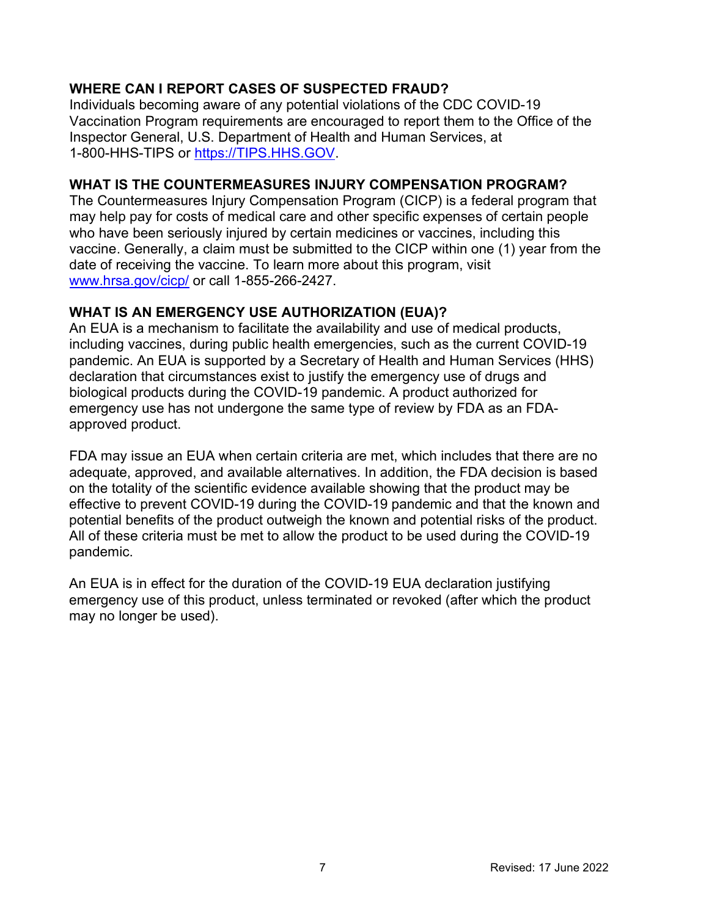## WHERE CAN I REPORT CASES OF SUSPECTED FRAUD?

 Individuals becoming aware of any potential violations of the CDC COVID-19 Vaccination Program requirements are encouraged to report them to the Office of the Inspector General, U.S. Department of Health and Human Services, at 1-800-HHS-TIPS or https://TIPS.HHS.GOV.

## WHAT IS THE COUNTERMEASURES INJURY COMPENSATION PROGRAM?

 The Countermeasures Injury Compensation Program (CICP) is a federal program that may help pay for costs of medical care and other specific expenses of certain people who have been seriously injured by certain medicines or vaccines, including this vaccine. Generally, a claim must be submitted to the CICP within one (1) year from the date of receiving the vaccine. To learn more about this program, visit www.hrsa.gov/cicp/ or call 1-855-266-2427.

## WHAT IS AN EMERGENCY USE AUTHORIZATION (EUA)?

 An EUA is a mechanism to facilitate the availability and use of medical products, including vaccines, during public health emergencies, such as the current COVID-19 pandemic. An EUA is supported by a Secretary of Health and Human Services (HHS) declaration that circumstances exist to justify the emergency use of drugs and biological products during the COVID-19 pandemic. A product authorized for emergency use has not undergone the same type of review by FDA as an FDA-approved product.

 FDA may issue an EUA when certain criteria are met, which includes that there are no adequate, approved, and available alternatives. In addition, the FDA decision is based on the totality of the scientific evidence available showing that the product may be effective to prevent COVID-19 during the COVID-19 pandemic and that the known and potential benefits of the product outweigh the known and potential risks of the product. All of these criteria must be met to allow the product to be used during the COVID-19 pandemic.

 An EUA is in effect for the duration of the COVID-19 EUA declaration justifying emergency use of this product, unless terminated or revoked (after which the product may no longer be used).